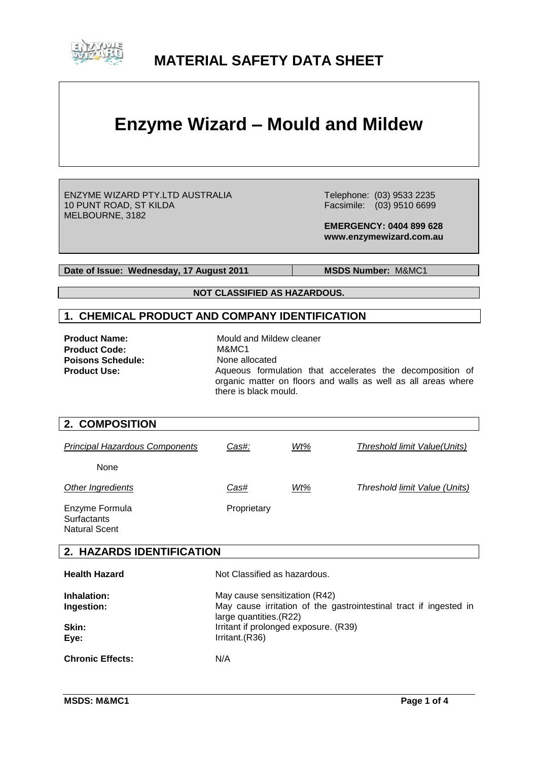

# **MATERIAL SAFETY DATA SHEET**

# **Enzyme Wizard – Mould and Mildew**

ENZYME WIZARD PTY.LTD AUSTRALIA 10 PUNT ROAD, ST KILDA MELBOURNE, 3182

 Telephone: (03) 9533 2235 Facsimile: (03) 9510 6699

 **EMERGENCY: 0404 899 628 www.enzymewizard.com.au**

**Date of Issue: Wednesday, 17 August 2011** MSDS Number: M&MC1

**NOT CLASSIFIED AS HAZARDOUS.**

#### **1. CHEMICAL PRODUCT AND COMPANY IDENTIFICATION**

| <b>Product Name:</b>     | Mould and Mildew cleaner                                                                                                                            |
|--------------------------|-----------------------------------------------------------------------------------------------------------------------------------------------------|
| <b>Product Code:</b>     | M&MC1                                                                                                                                               |
| <b>Poisons Schedule:</b> | None allocated                                                                                                                                      |
| <b>Product Use:</b>      | Aqueous formulation that accelerates the decomposition of<br>organic matter on floors and walls as well as all areas where<br>there is black mould. |

| 2. COMPOSITION                                               |                                                                                                                                                                                          |     |                                      |
|--------------------------------------------------------------|------------------------------------------------------------------------------------------------------------------------------------------------------------------------------------------|-----|--------------------------------------|
| <b>Principal Hazardous Components</b>                        | Cas#:                                                                                                                                                                                    | Wt% | Threshold limit Value(Units)         |
| None                                                         |                                                                                                                                                                                          |     |                                      |
| Other Ingredients                                            | Cas#                                                                                                                                                                                     | Wt% | <b>Threshold limit Value (Units)</b> |
| Enzyme Formula<br><b>Surfactants</b><br><b>Natural Scent</b> | Proprietary                                                                                                                                                                              |     |                                      |
| 2. HAZARDS IDENTIFICATION                                    |                                                                                                                                                                                          |     |                                      |
| <b>Health Hazard</b>                                         | Not Classified as hazardous.                                                                                                                                                             |     |                                      |
| Inhalation:<br>Ingestion:<br>Skin:<br>Eye:                   | May cause sensitization (R42)<br>May cause irritation of the gastrointestinal tract if ingested in<br>large quantities. (R22)<br>Irritant if prolonged exposure. (R39)<br>Irritant.(R36) |     |                                      |
| <b>Chronic Effects:</b>                                      | N/A                                                                                                                                                                                      |     |                                      |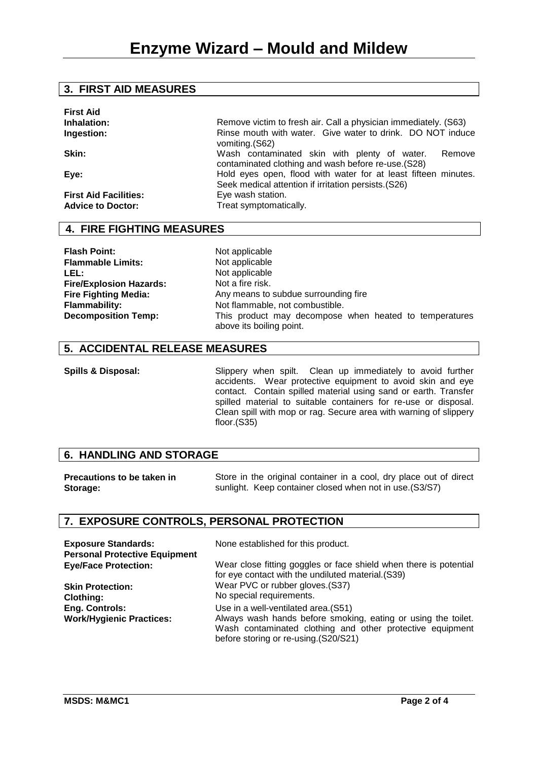#### **3. FIRST AID MEASURES**

| <b>First Aid</b>                                         |                                                                                                                        |
|----------------------------------------------------------|------------------------------------------------------------------------------------------------------------------------|
| Inhalation:                                              | Remove victim to fresh air. Call a physician immediately. (S63)                                                        |
| Ingestion:                                               | Rinse mouth with water. Give water to drink. DO NOT induce<br>vomiting. (S62)                                          |
| Skin:                                                    | Wash contaminated skin with plenty of water.<br>Remove<br>contaminated clothing and wash before re-use. (S28)          |
| Eye:                                                     | Hold eyes open, flood with water for at least fifteen minutes.<br>Seek medical attention if irritation persists. (S26) |
| <b>First Aid Facilities:</b><br><b>Advice to Doctor:</b> | Eye wash station.<br>Treat symptomatically.                                                                            |
|                                                          |                                                                                                                        |

# **4. FIRE FIGHTING MEASURES**

**Flash Point:** Not applicable<br> **Flammable Limits:** Not applicable **Flammable Limits:**<br>LEL: **Fire/Explosion Hazards: Fire Fighting Media:**

**LEL:** Not applicable Not a fire risk. Any means to subdue surrounding fire **Flammability:** Not flammable, not combustible. **Decomposition Temp:** This product may decompose when heated to temperatures above its boiling point.

#### **5. ACCIDENTAL RELEASE MEASURES**

**Spills & Disposal:** Slippery when spilt. Clean up immediately to avoid further accidents. Wear protective equipment to avoid skin and eye contact. Contain spilled material using sand or earth. Transfer spilled material to suitable containers for re-use or disposal. Clean spill with mop or rag. Secure area with warning of slippery floor.(S35)

# **6. HANDLING AND STORAGE**

**Precautions to be taken in Storage:** Store in the original container in a cool, dry place out of direct sunlight. Keep container closed when not in use.(S3/S7)

# **7. EXPOSURE CONTROLS, PERSONAL PROTECTION**

| <b>Exposure Standards:</b>           | None established for this product.                                                                                                                                 |
|--------------------------------------|--------------------------------------------------------------------------------------------------------------------------------------------------------------------|
| <b>Personal Protective Equipment</b> |                                                                                                                                                                    |
| <b>Eye/Face Protection:</b>          | Wear close fitting goggles or face shield when there is potential<br>for eye contact with the undiluted material. (S39)                                            |
| <b>Skin Protection:</b>              | Wear PVC or rubber gloves. (S37)                                                                                                                                   |
| <b>Clothing:</b>                     | No special requirements.                                                                                                                                           |
| <b>Eng. Controls:</b>                | Use in a well-ventilated area. (S51)                                                                                                                               |
| <b>Work/Hygienic Practices:</b>      | Always wash hands before smoking, eating or using the toilet.<br>Wash contaminated clothing and other protective equipment<br>before storing or re-using.(S20/S21) |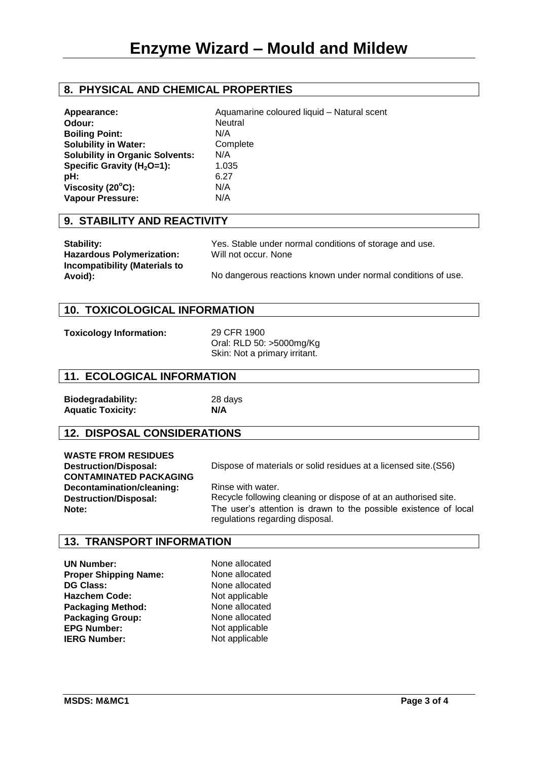# **8. PHYSICAL AND CHEMICAL PROPERTIES**

| Appearance:                            | Aquamarine coloured liquid - Natural scent |
|----------------------------------------|--------------------------------------------|
| Odour:                                 | <b>Neutral</b>                             |
| <b>Boiling Point:</b>                  | N/A                                        |
| <b>Solubility in Water:</b>            | Complete                                   |
| <b>Solubility in Organic Solvents:</b> | N/A                                        |
| Specific Gravity ( $H_2O=1$ ):         | 1.035                                      |
| pH:                                    | 6.27                                       |
| Viscosity $(20^{\circ}C)$ :            | N/A                                        |
| <b>Vapour Pressure:</b>                | N/A                                        |
|                                        |                                            |

#### **9. STABILITY AND REACTIVITY**

| <b>Stability:</b>                               | Yes. Stable under normal conditions of storage and use.      |
|-------------------------------------------------|--------------------------------------------------------------|
| <b>Hazardous Polymerization:</b>                | Will not occur. None                                         |
| <b>Incompatibility (Materials to</b><br>Avoid): | No dangerous reactions known under normal conditions of use. |

#### **10. TOXICOLOGICAL INFORMATION**

**Toxicology Information:** 29 CFR 1900

Oral: RLD 50: >5000mg/Kg Skin: Not a primary irritant.

#### **11. ECOLOGICAL INFORMATION**

**Biodegradability:** 28 days **Aquatic Toxicity: N/A**

# **12. DISPOSAL CONSIDERATIONS**

| <b>WASTE FROM RESIDUES</b>    |
|-------------------------------|
| <b>Destruction/Disposal:</b>  |
| <b>CONTAMINATED PACKAGING</b> |
| Decontamination/cleaning:     |
| <b>Destruction/Disposal:</b>  |
| Note:                         |

Dispose of materials or solid residues at a licensed site.(S56)

Rinse with water. Recycle following cleaning or dispose of at an authorised site. The user's attention is drawn to the possible existence of local regulations regarding disposal.

#### **13. TRANSPORT INFORMATION**

**UN Number:** None allocated **Proper Shipping Name:** None allocated **DG Class:** None allocated **Hazchem Code:** Not applicable<br> **Packaging Method:** None allocated **Packaging Method:** None allocated<br> **Packaging Group:** None allocated **Packaging Group: EPG Number:** Not applicable **IERG Number:** Not applicable